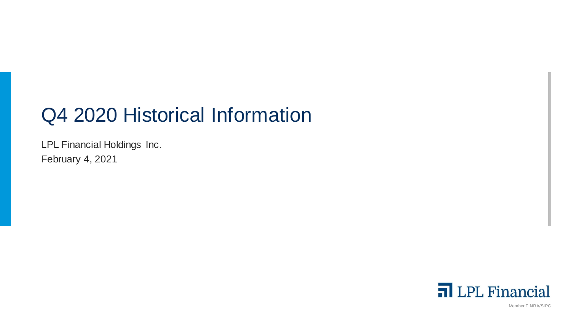# Q4 2020 Historical Information

LPL Financial Holdings Inc. February 4, 2021



Member FINRA/SIPC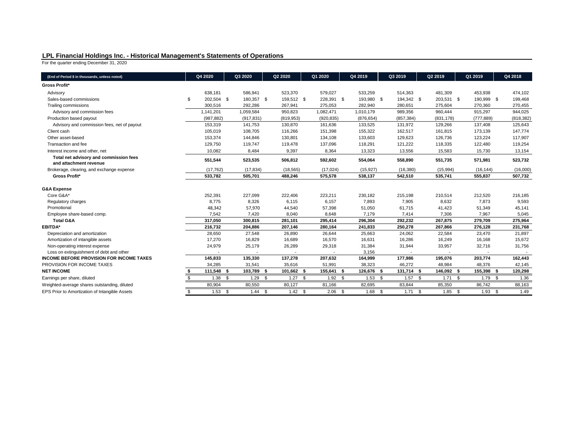# **LPL Financial Holdings Inc. - Historical Management's Statements of Operations**

For the quarter ending December 31, 2020

| (End of Period \$ in thousands, unless noted)                              | Q4 2020 |            |      | Q3 2020    |      | Q2 2020    | Q1 2020    | Q4 2019         |      | Q3 2019    | Q2 2019         | Q1 2019    | Q4 2018    |
|----------------------------------------------------------------------------|---------|------------|------|------------|------|------------|------------|-----------------|------|------------|-----------------|------------|------------|
| <b>Gross Profit*</b>                                                       |         |            |      |            |      |            |            |                 |      |            |                 |            |            |
| Advisory                                                                   |         | 638,181    |      | 586,941    |      | 523,370    | 579,027    | 533,259         |      | 514,363    | 481,309         | 453,938    | 474,102    |
| Sales-based commissions                                                    | \$      | 202,504 \$ |      | 180,357 \$ |      | 159,512 \$ | 228,391 \$ | 193,980 \$      |      | 194,342 \$ | 203,531 \$      | 190,999 \$ | 199,468    |
| Trailing commissions                                                       |         | 300,516    |      | 292,286    |      | 267,941    | 275,053    | 282,940         |      | 280,651    | 275,604         | 270,360    | 270,455    |
| Advisory and commission fees                                               |         | 1,141,201  |      | 1,059,584  |      | 950,823    | 1,082,471  | 1,010,179       |      | 989,356    | 960,444         | 915,297    | 944,025    |
| Production based payout                                                    |         | (987, 882) |      | (917, 831) |      | (819, 953) | (920, 835) | (876, 654)      |      | (857, 384) | (831, 178)      | (777, 889) | (818, 382) |
| Advisory and commission fees, net of payout                                |         | 153,319    |      | 141,753    |      | 130,870    | 161,636    | 133,525         |      | 131,972    | 129,266         | 137,408    | 125,643    |
| Client cash                                                                |         | 105,019    |      | 108,705    |      | 116,266    | 151,398    | 155,322         |      | 162,517    | 161,815         | 173,139    | 147,774    |
| Other asset-based                                                          |         | 153,374    |      | 144,846    |      | 130,801    | 134,108    | 133,603         |      | 129,623    | 126,736         | 123,224    | 117,907    |
| Transaction and fee                                                        |         | 129,750    |      | 119,747    |      | 119,478    | 137,096    | 118,291         |      | 121,222    | 118,335         | 122,480    | 119,254    |
| Interest income and other, net                                             |         | 10,082     |      | 8,484      |      | 9,397      | 8,364      | 13,323          |      | 13,556     | 15,583          | 15,730     | 13,154     |
| Total net advisory and commission fees<br>and attachment revenue           |         | 551,544    |      | 523,535    |      | 506,812    | 592,602    | 554,064         |      | 558,890    | 551,735         | 571,981    | 523,732    |
| Brokerage, clearing, and exchange expense                                  |         | (17, 762)  |      | (17, 834)  |      | (18, 565)  | (17, 024)  | (15, 927)       |      | (16, 380)  | (15,994)        | (16, 144)  | (16,000)   |
| Gross Profit*                                                              |         | 533,782    |      | 505,701    |      | 488,246    | 575,578    | 538,137         |      | 542,510    | 535,741         | 555,837    | 507,732    |
| <b>G&amp;A Expense</b>                                                     |         |            |      |            |      |            |            |                 |      |            |                 |            |            |
| Core G&A*                                                                  |         | 252,391    |      | 227,099    |      | 222,406    | 223,211    | 230,182         |      | 215,198    | 210,514         | 212,520    | 216,185    |
| Regulatory charges                                                         |         | 8,775      |      | 8,326      |      | 6,115      | 6,157      | 7,893           |      | 7,905      | 8,632           | 7,873      | 9,593      |
| Promotional                                                                |         | 48,342     |      | 57,970     |      | 44,540     | 57,398     | 51,050          |      | 61,715     | 41,423          | 51,349     | 45,141     |
| Employee share-based comp.                                                 |         | 7,542      |      | 7,420      |      | 8,040      | 8,648      | 7,179           |      | 7,414      | 7,306           | 7,967      | 5,045      |
| <b>Total G&amp;A</b>                                                       |         | 317,050    |      | 300,815    |      | 281,101    | 295,414    | 296,304         |      | 292,232    | 267,875         | 279,709    | 275,964    |
| <b>EBITDA*</b>                                                             |         | 216,732    |      | 204,886    |      | 207,146    | 280,164    | 241,833         |      | 250,278    | 267,866         | 276,128    | 231,768    |
| Depreciation and amortization                                              |         | 28,650     |      | 27,548     |      | 26,890     | 26,644     | 25,663          |      | 24,062     | 22,584          | 23,470     | 21,897     |
| Amortization of intangible assets                                          |         | 17,270     |      | 16,829     |      | 16,689     | 16,570     | 16,631          |      | 16,286     | 16,249          | 16,168     | 15,672     |
| Non-operating interest expense<br>Loss on extinguishment of debt and other |         | 24,979     |      | 25,179     |      | 26,289     | 29,318     | 31,384<br>3,156 |      | 31,944     | 33,957          | 32,716     | 31,756     |
| <b>INCOME BEFORE PROVISION FOR INCOME TAXES</b>                            |         | 145,833    |      | 135,330    |      | 137,278    | 207,632    | 164,999         |      | 177,986    | 195,076         | 203,774    | 162,443    |
| PROVISION FOR INCOME TAXES                                                 |         | 34,285     |      | 31,541     |      | 35,616     | 51,991     | 38,323          |      | 46,272     | 48,984          | 48,376     | 42,145     |
| <b>NET INCOME</b>                                                          |         | 111,548 \$ |      | 103,789    | - \$ | 101,662 \$ | 155,641 \$ | 126,676 \$      |      | 131,714 \$ | 146,092 \$      | 155,398 \$ | 120,298    |
| Earnings per share, diluted                                                | \$      | $1.38$ \$  |      | $1.29$ \$  |      | $1.27$ \$  | $1.92$ \$  | $1.53$ \$       |      | $1.57$ \$  | $1.71$ \$       | $1.79$ \$  | 1.36       |
|                                                                            |         |            |      |            |      |            |            |                 |      |            |                 |            |            |
| Weighted-average shares outstanding, diluted                               |         | 80,904     |      | 80,550     |      | 80,127     | 81,166     | 82,695          |      | 83,844     | 85,350          | 86,742     | 88,163     |
| EPS Prior to Amortization of Intangible Assets                             | \$      | 1.53       | - \$ | 1.44       | \$   | $1.42$ \$  | 2.06       | \$<br>1.68      | - \$ | 1.71       | \$<br>$1.85$ \$ | $1.93$ \$  | 1.49       |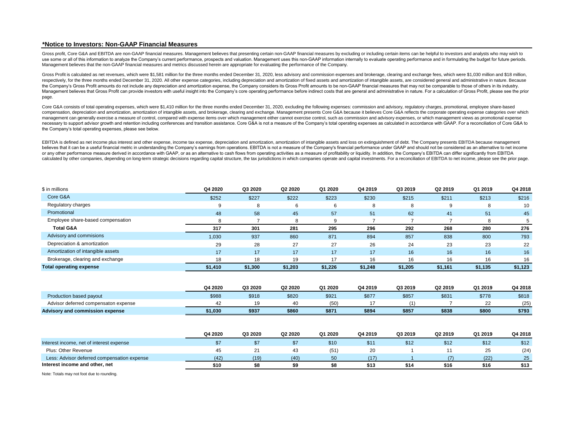# **\*Notice to Investors: Non-GAAP Financial Measures**

Gross profit, Core G&A and EBITDA are non-GAAP financial measures. Management believes that presenting certain non-GAAP financial measures by excluding or including certain items can be helpful to investors and analysts wh use some or all of this information to analyze the Company's current performance, prospects and valuation. Management uses this non-GAAP information internally to evaluate operating performance and in formulating the budge Management believes that the non-GAAP financial measures and metrics discussed herein are appropriate for evaluating the performance of the Company.

Gross Profit is calculated as net revenues, which were \$1,581 million for the three months ended December 31, 2020, less advisory and commission expenses and brokerage, clearing and exchange fees, which were \$1,030 million respectively, for the three months ended December 31, 2020. All other expense categories, including depreciation and amortization of fixed assets and amortization of intangible assets, are considered general and administra the Company's Gross Profit amounts do not include any depreciation and amortization expense, the Company considers its Gross Profit amounts to be non-GAAP financial measures that may not be comparable to those of others in Management believes that Gross Profit can provide investors with useful insight into the Company's core operating performance before indirect costs that are general and administrative in nature. For a calculation of Gross page.

Core G&A consists of total operating expenses, which were \$1,410 million for the three months ended December 31, 2020, excluding the following expenses: commission and advisory, regulatory charges, promotional, employee sh compensation, depreciation and amortization, amortization of intangible assets, and brokerage, clearing and exchange. Management presents Core G&A because it believes Core G&A reflects the corporate operating expense categ management can generally exercise a measure of control, compared with expense items over which management either cannot exercise control, such as commission and advisory expenses, or which management views as promotional e necessary to support advisor growth and retention including conferences and transition assistance. Core G&A is not a measure of the Company's total operating expenses as calculated in accordance with GAAP. For a reconcilia the Company's total operating expenses, please see below.

EBITDA is defined as net income plus interest and other expense, income tax expense, depreciation and amortization, amortization of intangible assets and loss on extinguishment of debt. The Company presents EBITDA because believes that it can be a useful financial metric in understanding the Company's earnings from operations. EBITDA is not a measure of the Company's financial performance under GAAP and should not be considered as an altern or any other performance measure derived in accordance with GAAP, or as an alternative to cash flows from operating activities as a measure of profitability or liquidity. In addition, the Company's EBITDA can differ signif calculated by other companies, depending on long-term strategic decisions regarding capital structure, the tax iurisdictions in which companies operate and capital investments. For a reconciliation of EBITDA to net income,

| \$ in millions                    | Q4 2020         | Q3 2020 | Q2 2020 | Q1 2020 | Q4 2019 | Q3 2019 | Q2 2019 | Q1 2019 | Q4 2018 |
|-----------------------------------|-----------------|---------|---------|---------|---------|---------|---------|---------|---------|
| Core G&A                          | \$252           | \$227   | \$222   | \$223   | \$230   | \$215   | \$211   | \$213   | \$216   |
| Regulatory charges                |                 |         |         | 6       | 8       | 8       |         | 8       | 10      |
| Promotional                       | 48              | 58      | 45      | 57      | 51      | 62      | 41      | 51      | 45      |
| Employee share-based compensation |                 |         |         |         |         |         |         |         |         |
| <b>Total G&amp;A</b>              | 317             | 301     | 281     | 295     | 296     | 292     | 268     | 280     | 276     |
| Advisory and commisions           | 1,030           | 937     | 860     | 871     | 894     | 857     | 838     | 800     | 793     |
| Depreciation & amortization       | 29              | 28      | 27      | 27      | 26      | 24      | 23      | 23      | 22      |
| Amortization of intangible assets | 17 <sup>5</sup> | 17      | 17      | 17      | 17      | 16      | 16      | 16      | 16      |
| Brokerage, clearing and exchange  |                 | 18      | 19      | 17      | 16      | 16      | 16      | 16      | 16      |
| <b>Total operating expense</b>    | \$1,410         | \$1,300 | \$1,203 | \$1,226 | \$1,248 | \$1,205 | \$1,161 | \$1,135 | \$1,123 |

|                                             | Q4 2020 | Q3 2020 | Q2 2020 | Q1 2020 | Q4 2019 | Q3 2019 | Q2 2019 | Q1 2019 | Q4 2018 |
|---------------------------------------------|---------|---------|---------|---------|---------|---------|---------|---------|---------|
| Production based payout                     | \$988   | \$918   | \$820   | \$921   | \$877   | \$857   | \$831   | \$778   | \$818   |
| Advisor deferred compensaton expense        | 42      | 19      | 40      | (50)    | 17      |         |         | 22      | (25)    |
| Advisory and commission expense             | \$1,030 | \$937   | \$860   | \$871   | \$894   | \$857   | \$838   | \$800   | \$793   |
|                                             | Q4 2020 | Q3 2020 | Q2 2020 | Q1 2020 | Q4 2019 | Q3 2019 | Q2 2019 | Q1 2019 | Q4 2018 |
| Interest income, net of interest expense    | \$7     | \$7     | \$7     | \$10    | \$11    | \$12    | \$12    | \$12    | \$12    |
| Plus: Other Revenue                         | 45      | 21      | 43      | (51)    | 20      |         |         | 25      | (24)    |
| Less: Advisor deferred compensation expense | (42)    | (19)    | (40)    | 50      | (17)    |         | (7)     | (22)    | 25      |
| Interest income and other, net              | \$10    | \$8     | \$9     | \$8     | \$13    | \$14    | \$16    | \$16    | \$13    |

Note: Totals may not foot due to rounding.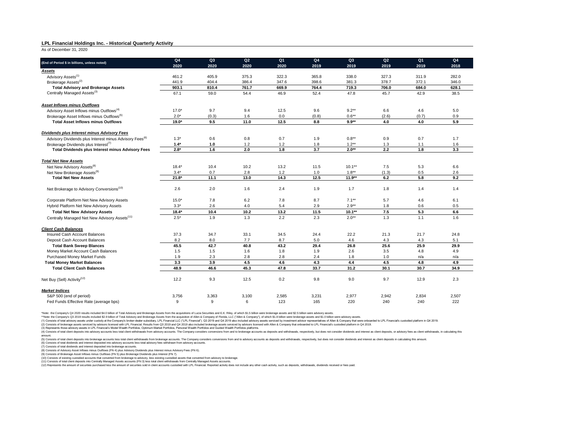# **LPL Financial Holdings Inc. - Historical Quarterly Activity**

As of December 31, 2020

|                                                                     | Q4      | Q <sub>3</sub> | Q2    | Q <sub>1</sub> | Q4    | Q3        | Q2    | Q <sub>1</sub> | Q4    |
|---------------------------------------------------------------------|---------|----------------|-------|----------------|-------|-----------|-------|----------------|-------|
| (End of Period \$ in billions, unless noted)                        | 2020    | 2020           | 2020  | 2020           | 2019  | 2019      | 2019  | 2019           | 2018  |
| <u>Assets</u>                                                       |         |                |       |                |       |           |       |                |       |
| Advisory Assets <sup>(1)</sup>                                      | 461.2   | 405.9          | 375.3 | 322.3          | 365.8 | 338.0     | 327.3 | 311.9          | 282.0 |
| Brokerage Assets <sup>(2)</sup>                                     | 441.9   | 404.4          | 386.4 | 347.6          | 398.6 | 381.3     | 378.7 | 372.1          | 346.0 |
| <b>Total Advisory and Brokerage Assets</b>                          | 903.1   | 810.4          | 761.7 | 669.9          | 764.4 | 719.3     | 706.0 | 684.0          | 628.1 |
| Centrally Managed Assets <sup>(3)</sup>                             | 67.1    | 59.0           | 54.4  | 46.9           | 52.4  | 47.8      | 45.7  | 42.9           | 38.5  |
| <b>Asset Inflows minus Outflows</b>                                 |         |                |       |                |       |           |       |                |       |
| Advisory Asset Inflows minus Outflows <sup>(4)</sup>                | $17.0*$ | 9.7            | 9.4   | 12.5           | 9.6   | $9.2**$   | 6.6   | 4.6            | 5.0   |
| Brokerage Asset Inflows minus Outflows <sup>(5)</sup>               | $2.0*$  | (0.3)          | 1.6   | 0.0            | (0.8) | $0.6**$   | (2.6) | (0.7)          | 0.9   |
| <b>Total Asset Inflows minus Outflows</b>                           | $19.0*$ | 9.5            | 11.0  | 12.5           | 8.8   | $9.9**$   | 4.0   | 4.0            | 5.9   |
| Dividends plus Interest minus Advisory Fees                         |         |                |       |                |       |           |       |                |       |
| Advisory Dividends plus Interest minus Advisory Fees <sup>(6)</sup> | $1.3*$  | 0.6            | 0.8   | 0.7            | 1.9   | $0.8**$   | 0.9   | 0.7            | 1.7   |
| Brokerage Dividends plus Interest <sup>(7)</sup>                    | $1.4*$  | 1.0            | 1.2   | 1.2            | 1.8   | $1.2**$   | 1.3   | 1.1            | 1.6   |
| Total Dividends plus Interest minus Advisory Fees                   | $2.8*$  | 1.6            | 2.0   | 1.8            | 3.7   | $2.0**$   | 2.2   | 1.8            | 3.3   |
| <b>Total Net New Assets</b>                                         |         |                |       |                |       |           |       |                |       |
| Net New Advisory Assets <sup>(8)</sup>                              | $18.4*$ | 10.4           | 10.2  | 13.2           | 11.5  | $10.1***$ | 7.5   | 5.3            | 6.6   |
| Net New Brokerage Assets <sup>(9)</sup>                             | $3.4*$  | 0.7            | 2.8   | 1.2            | 1.0   | $1.8**$   | (1.3) | 0.5            | 2.6   |
| <b>Total Net New Assets</b>                                         | $21.8*$ | 11.1           | 13.0  | 14.3           | 12.5  | $11.9**$  | 6.2   | 5.8            | 9.2   |
|                                                                     |         |                |       |                |       |           |       |                |       |
| Net Brokerage to Advisory Conversions <sup>(10)</sup>               | 2.6     | 2.0            | 1.6   | 2.4            | 1.9   | 1.7       | 1.8   | 1.4            | 1.4   |
| Corporate Platform Net New Advisory Assets                          | $15.0*$ | 7.8            | 6.2   | 7.8            | 8.7   | $7.1***$  | 5.7   | 4.6            | 6.1   |
| Hybrid Platform Net New Advisory Assets                             | $3.3*$  | 2.6            | 4.0   | 5.4            | 2.9   | $2.9**$   | 1.8   | 0.6            | 0.5   |
| <b>Total Net New Advisory Assets</b>                                | $18.4*$ | 10.4           | 10.2  | 13.2           | 11.5  | $10.1**$  | 7.5   | 5.3            | 6.6   |
| Centrally Managed Net New Advisory Assets <sup>(11)</sup>           | $2.5*$  | 1.9            | 1.3   | 2.2            | 2.3   | $2.0**$   | 1.3   | 1.1            | 1.6   |
| <b>Client Cash Balances</b>                                         |         |                |       |                |       |           |       |                |       |
| Insured Cash Account Balances                                       | 37.3    | 34.7           | 33.1  | 34.5           | 24.4  | 22.2      | 21.3  | 21.7           | 24.8  |
| Deposit Cash Account Balances                                       | 8.2     | 8.0            | 7.7   | 8.7            | 5.0   | 4.6       | 4.3   | 4.3            | 5.1   |
| <b>Total Bank Sweep Blances</b>                                     | 45.5    | 42.7           | 40.8  | 43.2           | 29.4  | 26.8      | 25.6  | 25.9           | 29.9  |
| Money Market Account Cash Balances                                  | 1.5     | 1.5            | 1.6   | 1.8            | 1.9   | 2.6       | 3.5   | 4.8            | 4.9   |
| Purchased Money Market Funds                                        | 1.9     | 2.3            | 2.8   | 2.8            | 2.4   | 1.8       | 1.0   | n/a            | n/a   |
| <b>Total Money Market Balances</b>                                  | 3.3     | 3.9            | 4.5   | 4.6            | 4.3   | 4.4       | 4.5   | 4.8            | 4.9   |
| <b>Total Client Cash Balances</b>                                   | 48.9    | 46.6           | 45.3  | 47.8           | 33.7  | 31.2      | 30.1  | 30.7           | 34.9  |
| Net Buy (Sell) Activity <sup>(12)</sup>                             | 12.2    | 9.3            | 12.5  | 0.2            | 9.8   | 9.0       | 9.7   | 12.9           | 2.3   |
| <b>Market Indices</b>                                               |         |                |       |                |       |           |       |                |       |
| S&P 500 (end of period)                                             | 3,756   | 3,363          | 3,100 | 2,585          | 3,231 | 2,977     | 2,942 | 2,834          | 2,507 |
| Fed Funds Effective Rate (average bps)                              | 9       | 9              | 6     | 123            | 165   | 220       | 240   | 240            | 222   |

\*Note: the Company's Q4 2020 results included \$4.0 billion of Total Advisory and Brokerage Assets from the acquisitions of Lucia Securities and E.K. Riley, of which \$1.5 billion were brokerage assets and \$2.5 billion were

\*\*Note: the Company's 03:2019 results included \$2.5 billion of Total Advisory and Brokerage Assels from the recultable Children and the Company's troker-desire subsidiary. LPL Francial LC ("LPL Francial"), Q2 2019 and O4 2 amount.

(5) Consists of total client deposits into brokerage accounts less total client withdrawals from brokerage accounts. The Company considers conversions from and to advisory accounts as deposits and withdrawals, respectively

(6) Consists of total dividends and interest deposited into advisory accounts less total advisory fees withdrawn from advisory accounts.

(7) Consists of total dividends and interest deposited into brokerage accounts.

(8) Consists of Advisory Asset Inflows minus Outflows (FN 4) plus Advisory Dividends plus Interest minus Advisory Fees (FN 6).<br>(9) Consists of Brokerage Asset Inflows minus Outflows (FN 5) plus Brokerage Dividends plus Int

(10) Consists of existing custodied accounts that converted from brokerage to advisory, less existing custodied assets that converted from advisory to brokerage.<br>(11) Consists of total client deposits into Centrally Manage

(12) Represents the amount of securities purchased less the amount of securities sold in client accounts custodied with IPI Financial Reported activity does not include any other cash activity such as deposits, withdrawals